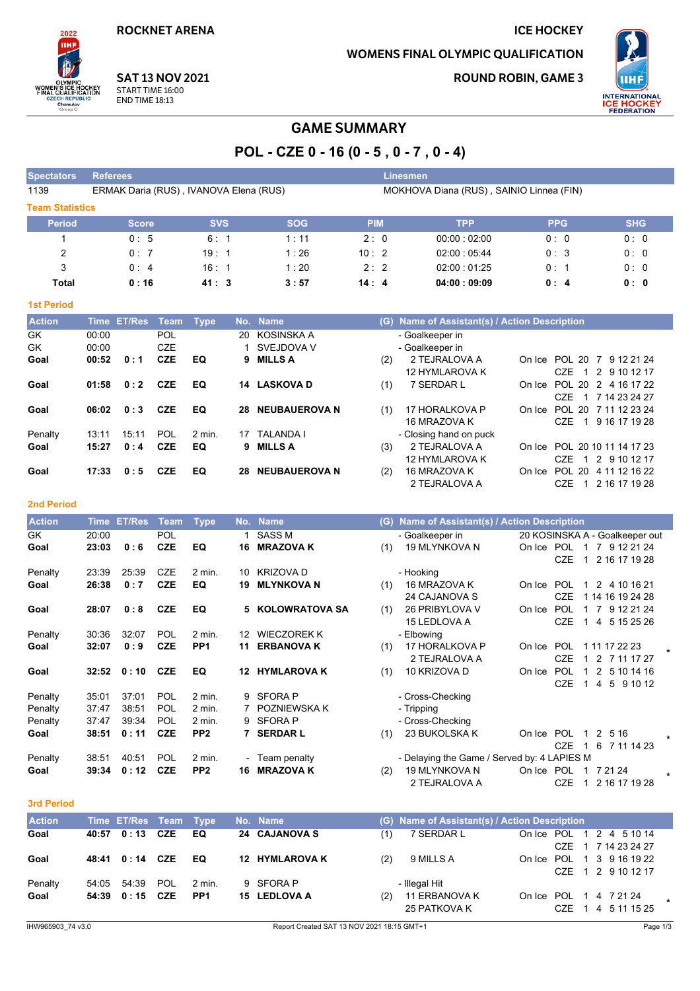**ROCKNET ARENA** 

# **WOMENS FINAL OLYMPIC QUALIFICATION**

**ROUND ROBIN, GAME 3** 

**ICE HOCKEY** 



**SAT 13 NOV 2021** START TIME 16:00 **END TIME 18:13** 

# **GAME SUMMARY**

# POL - CZE 0 - 16 (0 - 5, 0 - 7, 0 - 4)

**Exercise Einesmen** 

| 1139                   | ERMAK Daria (RUS), IVANOVA Elena (RUS) |            |            | MOKHOVA Diana (RUS), SAINIO Linnea (FIN) |             |            |            |  |  |  |  |  |
|------------------------|----------------------------------------|------------|------------|------------------------------------------|-------------|------------|------------|--|--|--|--|--|
| <b>Team Statistics</b> |                                        |            |            |                                          |             |            |            |  |  |  |  |  |
| <b>Period</b>          | <b>Score</b>                           | <b>SVS</b> | <b>SOG</b> | <b>PIM</b>                               | <b>TPP</b>  | <b>PPG</b> | <b>SHG</b> |  |  |  |  |  |
|                        | 0:5                                    | 6:1        | 1:11       | 2:0                                      | 00.00:02:00 | 0:0        | 0:0        |  |  |  |  |  |
| 2                      | 0:7                                    | 19:1       | 1:26       | 10:2                                     | 02:00:05:44 | 0:3        | 0:0        |  |  |  |  |  |
| 3                      | 0:4                                    | 16:1       | 1:20       | 2:2                                      | 02:00:01:25 | 0:1        | 0:0        |  |  |  |  |  |
| Total                  | 0:16                                   | 41: 3      | 3:57       | 14:4                                     | 04:00:09:09 | 0:4        | 0:0        |  |  |  |  |  |

#### **1st Period**

2022 нн

**CKEY**<br>ATION

Spectators Referees

WOMEN'S ICE

| <b>Action</b> |       | Time ET/Res | Team Type  |          |     | No. Name             |     | (G) Name of Assistant(s) / Action Description |        |                              |
|---------------|-------|-------------|------------|----------|-----|----------------------|-----|-----------------------------------------------|--------|------------------------------|
| <b>GK</b>     | 00:00 |             | <b>POL</b> |          |     | 20 KOSINSKA A        |     | - Goalkeeper in                               |        |                              |
| <b>GK</b>     | 00:00 |             | <b>CZE</b> |          |     | 1 SVEJDOVA V         |     | - Goalkeeper in                               |        |                              |
| Goal          | 00:52 | 0:1         | <b>CZE</b> | EQ       |     | 9 MILLS A            | (2) | 2 TEJRALOVA A                                 | On Ice | POL 20 7 9 12 21 24          |
|               |       |             |            |          |     |                      |     | 12 HYMLAROVA K                                |        | CZE 1 2 9 10 12 17           |
| Goal          | 01:58 | 0:2         | <b>CZE</b> | EQ       | 14  | <b>LASKOVA D</b>     | (1) | 7 SERDAR L                                    | On Ice | POL 20 2 4 16 17 22          |
|               |       |             |            |          |     |                      |     |                                               |        | CZE 1 7 14 23 24 27          |
| Goal          | 06:02 | 0:3         | <b>CZE</b> | EQ       | 28  | <b>NEUBAUEROVA N</b> | (1) | 17 HORALKOVA P                                | On Ice | POL 20 7 11 12 23 24         |
|               |       |             |            |          |     |                      |     | 16 MRAZOVA K                                  |        | CZE.<br>9 16 17 19 28<br>-1  |
| Penalty       | 13:11 | 15:11       | <b>POL</b> | $2$ min. | 17  | <b>TALANDA I</b>     |     | - Closing hand on puck                        |        |                              |
| Goal          | 15:27 | 0:4         | <b>CZE</b> | EQ       |     | 9 MILLS A            | (3) | 2 TEJRALOVA A                                 |        | On Ice POL 20 10 11 14 17 23 |
|               |       |             |            |          |     |                      |     | 12 HYMLAROVA K                                |        | 1 2 9 10 12 17<br>CZE        |
| Goal          | 17:33 | 0:5         | <b>CZE</b> | EQ       | 28. | <b>NEUBAUEROVA N</b> | (2) | 16 MRAZOVA K                                  | On Ice | POL 20 4 11 12 16 22         |
|               |       |             |            |          |     |                      |     | 2 TEJRALOVA A                                 |        | 2 16 17 19 28<br>CZE         |

#### **2nd Period**

| <b>Action</b> | Time  | <b>ET/Res</b> | Team       | <b>Type</b>     |     | No. Name              | (G) | Name of Assistant(s) / Action Description   |            |                      |              |                                |  |
|---------------|-------|---------------|------------|-----------------|-----|-----------------------|-----|---------------------------------------------|------------|----------------------|--------------|--------------------------------|--|
| GK            | 20:00 |               | <b>POL</b> |                 |     | <b>SASS M</b>         |     | - Goalkeeper in                             |            |                      |              | 20 KOSINSKA A - Goalkeeper out |  |
| Goal          | 23:03 | 0:6           | <b>CZE</b> | EQ              | 16  | <b>MRAZOVA K</b>      | (1) | 19 MLYNKOVA N                               | On Ice POL |                      | $\mathbf{1}$ | 7 9 12 21 24                   |  |
|               |       |               |            |                 |     |                       |     |                                             |            | <b>CZE</b>           |              | 2 16 17 19 28                  |  |
| Penalty       | 23:39 | 25:39         | <b>CZE</b> | $2$ min.        | 10  | <b>KRIZOVA D</b>      |     | - Hooking                                   |            |                      |              |                                |  |
| Goal          | 26:38 | 0:7           | <b>CZE</b> | EQ              | 19  | <b>MLYNKOVA N</b>     | (1) | 16 MRAZOVA K                                | On Ice     | <b>POL</b>           | -1           | 2 4 10 16 21                   |  |
|               |       |               |            |                 |     |                       |     | 24 CAJANOVA S                               |            | <b>CZE</b>           |              | 1 14 16 19 24 28               |  |
| Goal          | 28:07 | 0:8           | <b>CZE</b> | EQ              |     | 5 KOLOWRATOVA SA      | (1) | 26 PRIBYLOVA V                              | On Ice     | <b>POL</b>           |              | 9 12 21 24<br>7                |  |
|               |       |               |            |                 |     |                       |     | 15 LEDLOVA A                                |            | <b>CZE</b>           |              | 5 15 25 26<br>4                |  |
| Penalty       | 30:36 | 32:07         | POL        | 2 min.          | 12. | <b>WIECZOREK K</b>    |     | - Elbowing                                  |            |                      |              |                                |  |
| Goal          | 32:07 | 0:9           | <b>CZE</b> | PP <sub>1</sub> | 11  | <b>ERBANOVA K</b>     | (1) | 17 HORALKOVA P                              | On Ice     | <b>POL</b>           |              | 1 11 17 22 23                  |  |
|               |       |               |            |                 |     |                       |     | 2 TEJRALOVA A                               |            | <b>CZE</b>           |              | 2 7 11 17 27                   |  |
| Goal          | 32:52 | 0:10          | <b>CZE</b> | EQ              |     | <b>12 HYMLAROVA K</b> | (1) | 10 KRIZOVA D                                | On Ice     | POL                  |              | 2<br>5 10 14 16                |  |
|               |       |               |            |                 |     |                       |     |                                             |            | <b>CZE</b>           |              | 5<br>9 10 12<br>$\overline{4}$ |  |
| Penalty       | 35:01 | 37:01         | POL        | 2 min.          | 9   | <b>SFORA P</b>        |     | - Cross-Checking                            |            |                      |              |                                |  |
| Penalty       | 37:47 | 38:51         | POL        | 2 min.          |     | POZNIEWSKA K          |     | - Tripping                                  |            |                      |              |                                |  |
| Penalty       | 37:47 | 39:34         | <b>POL</b> | 2 min.          | 9   | <b>SFORA P</b>        |     | - Cross-Checking                            |            |                      |              |                                |  |
| Goal          | 38:51 | 0:11          | <b>CZE</b> | PP <sub>2</sub> |     | <b>SERDAR L</b>       | (1) | 23 BUKOLSKA K                               | On Ice     | POL                  |              | 2<br>5 16                      |  |
|               |       |               |            |                 |     |                       |     |                                             |            | <b>CZE</b>           |              | 6 7 11 14 23                   |  |
| Penalty       | 38:51 | 40:51         | POL        | 2 min.          |     | - Team penalty        |     | - Delaying the Game / Served by: 4 LAPIES M |            |                      |              |                                |  |
| Goal          | 39:34 | 0:12          | <b>CZE</b> | PP <sub>2</sub> | 16  | <b>MRAZOVA K</b>      | (2) | <b>19 MLYNKOVA N</b>                        | On Ice POL |                      |              | 7 21 24                        |  |
|               |       |               |            |                 |     |                       |     |                                             |            | $\sim$ $\sim$ $\sim$ |              |                                |  |

#### 3rd Period

| <b>Action</b> | Time ET/Res Team Type |                 | No. Name       |     | (G) Name of Assistant(s) / Action Description |                        |  |                                                 |  |
|---------------|-----------------------|-----------------|----------------|-----|-----------------------------------------------|------------------------|--|-------------------------------------------------|--|
| Goal          | 40:57 0:13 CZE        | EQ              | 24 CAJANOVA S  | (1) | 7 SERDAR L                                    |                        |  | On Ice POL 1 2 4 5 10 14<br>CZE 1 7 14 23 24 27 |  |
| Goal          | 48:41 0:14 CZE        | EQ              | 12 HYMLAROVA K | (2) | 9 MILLS A                                     |                        |  | On Ice POL 1 3 9 16 19 22<br>CZE 1 2 9 10 12 17 |  |
| Penalty       | 54:05    54:39    POL | 2 min.          | 9 SFORA P      |     | - Illegal Hit                                 |                        |  |                                                 |  |
| Goal          | 54:39 0:15 CZE        | PP <sub>1</sub> | 15 LEDLOVA A   | (2) | 11 ERBANOVA K<br>25 PATKOVA K                 | On Ice POL 1 4 7 21 24 |  | CZF 1 4 5 11 15 25                              |  |

2 TEJRALOVA A

CZE 1 2 16 17 19 28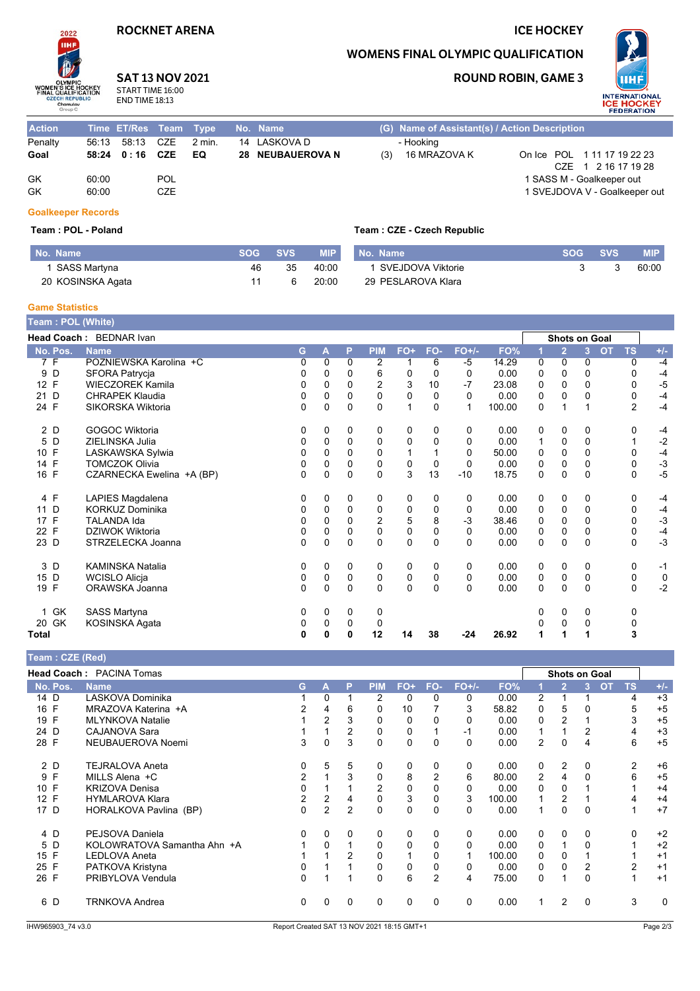### **ROCKNET ARENA**

## **ICE HOCKEY**

### **WOMENS FINAL OLYMPIC QUALIFICATION**

**ROUND ROBIN, GAME 3** 



| <b>IIHF</b>                |
|----------------------------|
|                            |
|                            |
| <b>OLYMPIC</b>             |
| <b>WOMEN'S ICE HOCKEY</b>  |
| <b>FINAL QUALIFICATION</b> |
| <b>CZECH REPUBLIC</b>      |
| Chomutov                   |
|                            |

Action

Penalty

Goal

GK

GK

 $2022$ 

#### **SAT 13 NOV 2021** START TIME 16:00

 $CZE$ 

**CZE** 

POL

CZE

**END TIME 18:13** 

56:13 58:13

58:24 0:16

60:00

60:00

#### (G) Name of Assistant(s) / Action Description Time ET/Res Team Type No. Name - Hooking  $2$  min. 14 LASKOVA D 28 NEUBAUEROVA N 16 MRAZOVA K On Ice POL 111 17 19 22 23 EQ  $(3)$ CZE 1 2 16 17 19 28

Team : CZE - Czech Republic

1 SASS M - Goalkeeper out 1 SVEJDOVA V - Goalkeeper out

### **Goalkeeper Records**

#### Team: POL - Poland

| No. Name          | <b>SOG</b> | <b>SVS</b> | <b>MIP</b> | No. Name           | <b>SOG</b> | <b>SVS</b> | <b>MIP</b> |
|-------------------|------------|------------|------------|--------------------|------------|------------|------------|
| SASS Martyna      | 46         | 35         | 40:00      | SVEJDOVA Viktorie  |            |            | 60:00      |
| 20 KOSINSKA Agata |            |            | 20:00      | 29 PESLAROVA Klara |            |            |            |

### **Game Statistics**

| Team: POL (White) |                           |   |             |             |            |             |             |              |        |             |                |                |           |                |              |
|-------------------|---------------------------|---|-------------|-------------|------------|-------------|-------------|--------------|--------|-------------|----------------|----------------|-----------|----------------|--------------|
|                   | Head Coach: BEDNAR Ivan   |   |             |             |            |             |             |              |        |             | Shots on Goal  |                |           |                |              |
| No. Pos.          | <b>Name</b>               | G | Α           | P           | <b>PIM</b> | FO+         | FO-         | <b>FO+/-</b> | FO%    |             | $\overline{2}$ | $\overline{3}$ | <b>OT</b> | <b>TS</b>      | $+/-$        |
| 7 F               | POZNIEWSKA Karolina +C    | 0 | 0           | $\Omega$    | 2          |             | 6           | $-5$         | 14.29  | 0           | $\Omega$       | 0              |           | 0              | $-4$         |
| D<br>9            | SFORA Patrycja            | 0 | 0           | $\Omega$    | 6          | 0           | $\Omega$    | 0            | 0.00   | 0           | $\Omega$       | 0              |           | 0              | $-4$         |
| 12 F              | <b>WIECZOREK Kamila</b>   | 0 | 0           | 0           | 2          | 3           | 10          | $-7$         | 23.08  | 0           | 0              | 0              |           | 0              | $-5$         |
| D<br>21           | <b>CHRAPEK Klaudia</b>    | 0 | $\Omega$    | $\Omega$    | 0          | $\mathbf 0$ | 0           | $\Omega$     | 0.00   | $\mathbf 0$ | $\Omega$       | $\Omega$       |           | 0              | $-4$         |
| 24 F              | SIKORSKA Wiktoria         | 0 | 0           | $\Omega$    | $\Omega$   |             | 0           | $\mathbf{1}$ | 100.00 | 0           |                |                |           | $\overline{2}$ | $-4$         |
| 2 D               | <b>GOGOC Wiktoria</b>     | 0 | 0           | 0           | 0          | 0           | 0           | 0            | 0.00   | 0           | 0              | 0              |           | 0              | $-4$         |
| 5 D               | ZIELINSKA Julia           | 0 | 0           | $\mathbf 0$ | 0          | $\mathbf 0$ | $\Omega$    | 0            | 0.00   | 1           | $\mathbf 0$    | 0              |           | 1              | $-2$         |
| 10 F              | LASKAWSKA Sylwia          | 0 | 0           | $\Omega$    | 0          |             |             | 0            | 50.00  | 0           | 0              | $\Omega$       |           | 0              | $-4$         |
| F<br>14           | <b>TOMCZOK Olivia</b>     | 0 | 0           | $\mathbf 0$ | 0          | 0           | $\mathbf 0$ | $\mathbf 0$  | 0.00   | 0           | $\mathbf 0$    | 0              |           | 0              | $-3$<br>$-5$ |
| 16 F              | CZARNECKA Ewelina +A (BP) | 0 | $\mathbf 0$ | $\Omega$    | $\Omega$   | 3           | 13          | $-10$        | 18.75  | 0           | $\Omega$       | $\Omega$       |           | $\Omega$       |              |
| 4 F               | LAPIES Magdalena          | 0 | 0           | 0           | 0          | 0           | 0           | 0            | 0.00   | 0           | 0              | 0              |           | 0              | $-4$         |
| D<br>11           | <b>KORKUZ Dominika</b>    | 0 | 0           | $\mathbf 0$ | 0          | 0           | 0           | 0            | 0.00   | 0           | 0              | 0              |           | 0              | $-4$         |
| F<br>17           | <b>TALANDA Ida</b>        | 0 | $\Omega$    | 0           | 2          | 5           | 8           | $-3$         | 38.46  | 0           | $\mathbf 0$    | 0              |           | 0              | $-3$         |
| 22 F              | DZIWOK Wiktoria           | 0 | 0           | 0           | 0          | 0           | 0           | 0            | 0.00   | 0           | $\mathbf 0$    | 0              |           | 0              | $-4$         |
| 23 D              | STRZELECKA Joanna         | 0 | $\Omega$    | $\Omega$    | $\Omega$   | 0           | $\Omega$    | $\Omega$     | 0.00   | 0           | $\Omega$       | $\Omega$       |           | 0              | $-3$         |
| 3 D               | <b>KAMINSKA Natalia</b>   | 0 | 0           | 0           | 0          | 0           | 0           | 0            | 0.00   | 0           | 0              | 0              |           | 0              | $-1$         |
| 15 D              | <b>WCISLO Alicja</b>      | 0 | 0           | 0           | 0          | 0           | 0           | $\Omega$     | 0.00   | 0           | $\mathbf 0$    | 0              |           | 0              | $\mathbf 0$  |
| 19 F              | ORAWSKA Joanna            | 0 | $\Omega$    | $\mathbf 0$ | $\Omega$   | $\Omega$    | $\Omega$    | $\Omega$     | 0.00   | $\Omega$    | $\Omega$       | $\Omega$       |           | 0              | $-2$         |
| 1 GK              | <b>SASS Martyna</b>       | 0 | 0           | 0           | 0          |             |             |              |        | 0           | $\mathbf 0$    | 0              |           | 0              |              |
| 20 GK             | KOSINSKA Agata            | 0 | 0           | 0           | 0          |             |             |              |        | 0           | 0              | 0              |           | 0              |              |
| Total             |                           | 0 | 0           | 0           | 12         | 14          | 38          | $-24$        | 26.92  | 1           | 1              |                |           | 3              |              |

| Team: CZE (Red) |                                 |                |                |                |                |       |                |          |        |                |                |                      |                 |          |
|-----------------|---------------------------------|----------------|----------------|----------------|----------------|-------|----------------|----------|--------|----------------|----------------|----------------------|-----------------|----------|
|                 | <b>Head Coach: PACINA Tomas</b> |                |                |                |                |       |                |          |        |                |                | <b>Shots on Goal</b> |                 |          |
| No. Pos.        | <b>Name</b>                     | G.             | A              | P              | <b>PIM</b>     | $FO+$ | FO-            | $FO+/-$  | FO%    |                | $\overline{2}$ | 3                    | <b>TS</b><br>OT | $+/-$    |
| 14 D            | LASKOVA Dominika                |                | 0              |                | 2              | 0     | 0              | 0        | 0.00   | 2              |                |                      | 4               | $+3$     |
| 16 F            | MRAZOVA Katerina +A             | 2              | 4              | 6              | 0              | 10    |                | 3        | 58.82  | 0              | 5              |                      | 5               | $+5$     |
| 19 F            | <b>MLYNKOVA Natalie</b>         |                | $\overline{2}$ | 3              | $\Omega$       | 0     |                | 0        | 0.00   | 0              | 2              |                      | 3               | $+5$     |
| 24 D            | CAJANOVA Sara                   |                |                | 2              | $\Omega$       | 0     |                | -1       | 0.00   | 1              |                | 2                    | 4               | $+3$     |
| 28 F            | NEUBAUEROVA Noemi               | 3              | $\Omega$       | 3              | $\Omega$       | 0     | $\Omega$       | $\Omega$ | 0.00   | $\overline{2}$ | $\mathbf{0}$   | 4                    | 6               | $+5$     |
| 2 D             | <b>TEJRALOVA Aneta</b>          | 0              | 5              | 5              | 0              | 0     | 0              | 0        | 0.00   | 0              | 2              | 0                    | 2               | $+6$     |
| 9 F             | MILLS Alena +C                  | $\overline{2}$ |                | 3              | 0              | 8     | $\overline{2}$ | 6        | 80.00  | $\overline{2}$ | 4              | $\Omega$             | 6               | $+5$     |
| 10 F            | <b>KRIZOVA Denisa</b>           | 0              |                |                | $\overline{2}$ | 0     |                | $\Omega$ | 0.00   | 0              | $\mathbf{0}$   |                      |                 | $+4$     |
| 12 F            | <b>HYMLAROVA Klara</b>          | 2              | 2              | 4              | 0              | 3     | 0              | 3        | 100.00 |                | $\overline{2}$ |                      | 4               | $+4$     |
| 17 D            | HORALKOVA Pavlina (BP)          | $\Omega$       | $\overline{2}$ | $\overline{2}$ | 0              | 0     | 0              | $\Omega$ | 0.00   | 1              | $\Omega$       | $\Omega$             |                 | $+7$     |
| 4 D             | PEJSOVA Daniela                 | 0              | 0              | 0              | 0              | 0     | 0              | 0        | 0.00   | 0              | 0              | 0                    | $\Omega$        | $+2$     |
| 5 D             | KOLOWRATOVA Samantha Ahn +A     |                | $\Omega$       |                | 0              | 0     | 0              | $\Omega$ | 0.00   | 0              |                | 0                    |                 | $+2$     |
| 15 F            | <b>LEDLOVA Aneta</b>            |                |                | 2              | 0              |       | 0              |          | 100.00 | 0              | 0              |                      |                 | $+1$     |
| 25 F            | PATKOVA Kristyna                | 0              |                |                | 0              | 0     | 0              | 0        | 0.00   | 0              | $\mathbf{0}$   | 2                    | 2               | $+1$     |
| 26 F            | PRIBYLOVA Vendula               | 0              |                | 1              | 0              | 6     | $\overline{2}$ | 4        | 75.00  | 0              | 1              | $\Omega$             |                 | $+1$     |
| 6 D             | <b>TRNKOVA Andrea</b>           | 0              |                | 0              | 0              | 0     | 0              | $\Omega$ | 0.00   | 1              | 2              | $\Omega$             | 3               | $\Omega$ |